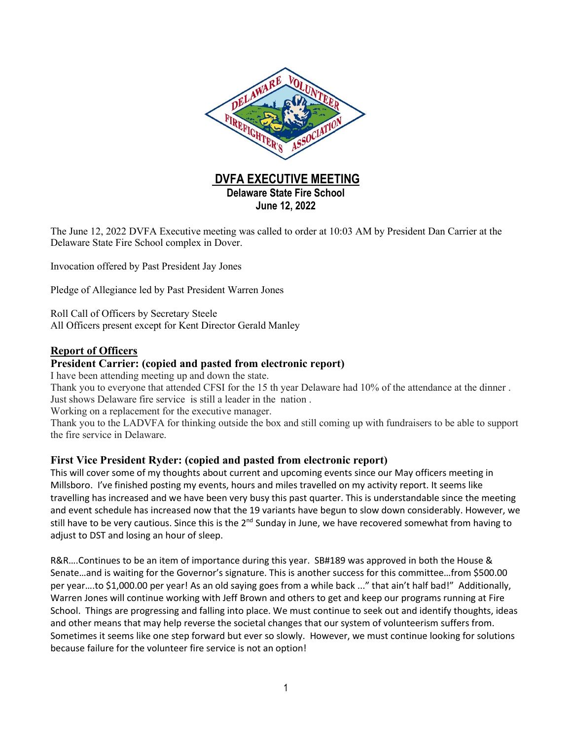

The June 12, 2022 DVFA Executive meeting was called to order at 10:03 AM by President Dan Carrier at the Delaware State Fire School complex in Dover.

Invocation offered by Past President Jay Jones

Pledge of Allegiance led by Past President Warren Jones

Roll Call of Officers by Secretary Steele All Officers present except for Kent Director Gerald Manley

### **Report of Officers**

### **President Carrier: (copied and pasted from electronic report)**

I have been attending meeting up and down the state.

Thank you to everyone that attended CFSI for the 15 th year Delaware had 10% of the attendance at the dinner . Just shows Delaware fire service is still a leader in the nation .

Working on a replacement for the executive manager.

Thank you to the LADVFA for thinking outside the box and still coming up with fundraisers to be able to support the fire service in Delaware.

### **First Vice President Ryder: (copied and pasted from electronic report)**

This will cover some of my thoughts about current and upcoming events since our May officers meeting in Millsboro. I've finished posting my events, hours and miles travelled on my activity report. It seems like travelling has increased and we have been very busy this past quarter. This is understandable since the meeting and event schedule has increased now that the 19 variants have begun to slow down considerably. However, we still have to be very cautious. Since this is the 2<sup>nd</sup> Sunday in June, we have recovered somewhat from having to adjust to DST and losing an hour of sleep.

R&R….Continues to be an item of importance during this year. SB#189 was approved in both the House & Senate…and is waiting for the Governor's signature. This is another success for this committee…from \$500.00 per year….to \$1,000.00 per year! As an old saying goes from a while back ..." that ain't half bad!" Additionally, Warren Jones will continue working with Jeff Brown and others to get and keep our programs running at Fire School. Things are progressing and falling into place. We must continue to seek out and identify thoughts, ideas and other means that may help reverse the societal changes that our system of volunteerism suffers from. Sometimes it seems like one step forward but ever so slowly. However, we must continue looking for solutions because failure for the volunteer fire service is not an option!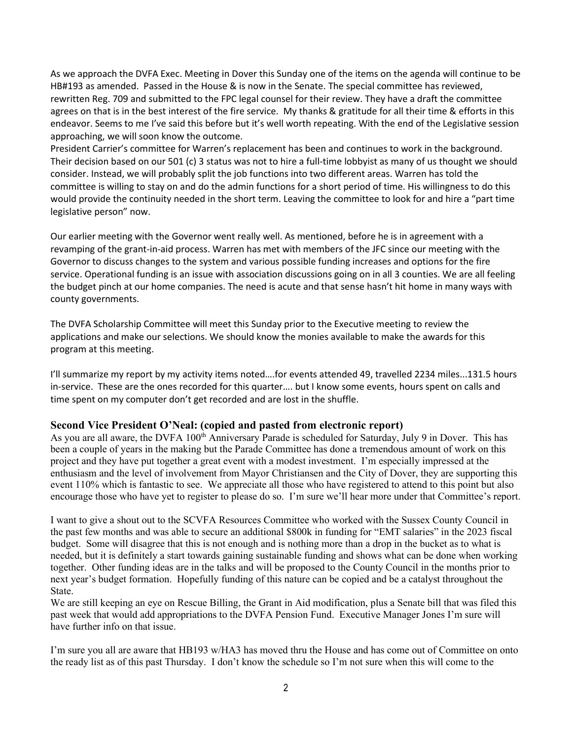As we approach the DVFA Exec. Meeting in Dover this Sunday one of the items on the agenda will continue to be HB#193 as amended. Passed in the House & is now in the Senate. The special committee has reviewed, rewritten Reg. 709 and submitted to the FPC legal counsel for their review. They have a draft the committee agrees on that is in the best interest of the fire service. My thanks & gratitude for all their time & efforts in this endeavor. Seems to me I've said this before but it's well worth repeating. With the end of the Legislative session approaching, we will soon know the outcome.

President Carrier's committee for Warren's replacement has been and continues to work in the background. Their decision based on our 501 (c) 3 status was not to hire a full-time lobbyist as many of us thought we should consider. Instead, we will probably split the job functions into two different areas. Warren has told the committee is willing to stay on and do the admin functions for a short period of time. His willingness to do this would provide the continuity needed in the short term. Leaving the committee to look for and hire a "part time legislative person" now.

Our earlier meeting with the Governor went really well. As mentioned, before he is in agreement with a revamping of the grant-in-aid process. Warren has met with members of the JFC since our meeting with the Governor to discuss changes to the system and various possible funding increases and options for the fire service. Operational funding is an issue with association discussions going on in all 3 counties. We are all feeling the budget pinch at our home companies. The need is acute and that sense hasn't hit home in many ways with county governments.

The DVFA Scholarship Committee will meet this Sunday prior to the Executive meeting to review the applications and make our selections. We should know the monies available to make the awards for this program at this meeting.

I'll summarize my report by my activity items noted….for events attended 49, travelled 2234 miles...131.5 hours in-service. These are the ones recorded for this quarter…. but I know some events, hours spent on calls and time spent on my computer don't get recorded and are lost in the shuffle.

#### **Second Vice President O'Neal: (copied and pasted from electronic report)**

As you are all aware, the DVFA 100<sup>th</sup> Anniversary Parade is scheduled for Saturday, July 9 in Dover. This has been a couple of years in the making but the Parade Committee has done a tremendous amount of work on this project and they have put together a great event with a modest investment. I'm especially impressed at the enthusiasm and the level of involvement from Mayor Christiansen and the City of Dover, they are supporting this event 110% which is fantastic to see. We appreciate all those who have registered to attend to this point but also encourage those who have yet to register to please do so. I'm sure we'll hear more under that Committee's report.

I want to give a shout out to the SCVFA Resources Committee who worked with the Sussex County Council in the past few months and was able to secure an additional \$800k in funding for "EMT salaries" in the 2023 fiscal budget. Some will disagree that this is not enough and is nothing more than a drop in the bucket as to what is needed, but it is definitely a start towards gaining sustainable funding and shows what can be done when working together. Other funding ideas are in the talks and will be proposed to the County Council in the months prior to next year's budget formation. Hopefully funding of this nature can be copied and be a catalyst throughout the State.

We are still keeping an eye on Rescue Billing, the Grant in Aid modification, plus a Senate bill that was filed this past week that would add appropriations to the DVFA Pension Fund. Executive Manager Jones I'm sure will have further info on that issue.

I'm sure you all are aware that HB193 w/HA3 has moved thru the House and has come out of Committee on onto the ready list as of this past Thursday. I don't know the schedule so I'm not sure when this will come to the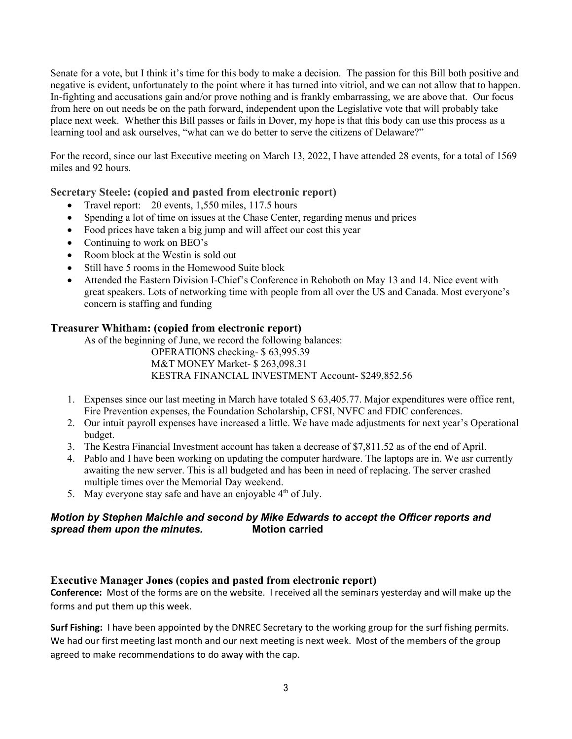Senate for a vote, but I think it's time for this body to make a decision. The passion for this Bill both positive and negative is evident, unfortunately to the point where it has turned into vitriol, and we can not allow that to happen. In-fighting and accusations gain and/or prove nothing and is frankly embarrassing, we are above that. Our focus from here on out needs be on the path forward, independent upon the Legislative vote that will probably take place next week. Whether this Bill passes or fails in Dover, my hope is that this body can use this process as a learning tool and ask ourselves, "what can we do better to serve the citizens of Delaware?"

For the record, since our last Executive meeting on March 13, 2022, I have attended 28 events, for a total of 1569 miles and 92 hours.

**Secretary Steele: (copied and pasted from electronic report)**

- Travel report: 20 events, 1,550 miles, 117.5 hours
- Spending a lot of time on issues at the Chase Center, regarding menus and prices
- Food prices have taken a big jump and will affect our cost this year
- Continuing to work on BEO's
- Room block at the Westin is sold out
- Still have 5 rooms in the Homewood Suite block
- Attended the Eastern Division I-Chief's Conference in Rehoboth on May 13 and 14. Nice event with great speakers. Lots of networking time with people from all over the US and Canada. Most everyone's concern is staffing and funding

### **Treasurer Whitham: (copied from electronic report)**

As of the beginning of June, we record the following balances: OPERATIONS checking- \$ 63,995.39

M&T MONEY Market- \$ 263,098.31 KESTRA FINANCIAL INVESTMENT Account- \$249,852.56

- 1. Expenses since our last meeting in March have totaled \$ 63,405.77. Major expenditures were office rent, Fire Prevention expenses, the Foundation Scholarship, CFSI, NVFC and FDIC conferences.
- 2. Our intuit payroll expenses have increased a little. We have made adjustments for next year's Operational budget.
- 3. The Kestra Financial Investment account has taken a decrease of \$7,811.52 as of the end of April.
- 4. Pablo and I have been working on updating the computer hardware. The laptops are in. We asr currently awaiting the new server. This is all budgeted and has been in need of replacing. The server crashed multiple times over the Memorial Day weekend.
- 5. May everyone stay safe and have an enjoyable  $4<sup>th</sup>$  of July.

### *Motion by Stephen Maichle and second by Mike Edwards to accept the Officer reports and* **spread them upon the minutes.**

# **Executive Manager Jones (copies and pasted from electronic report)**

**Conference:** Most of the forms are on the website. I received all the seminars yesterday and will make up the forms and put them up this week.

**Surf Fishing:** I have been appointed by the DNREC Secretary to the working group for the surf fishing permits. We had our first meeting last month and our next meeting is next week. Most of the members of the group agreed to make recommendations to do away with the cap.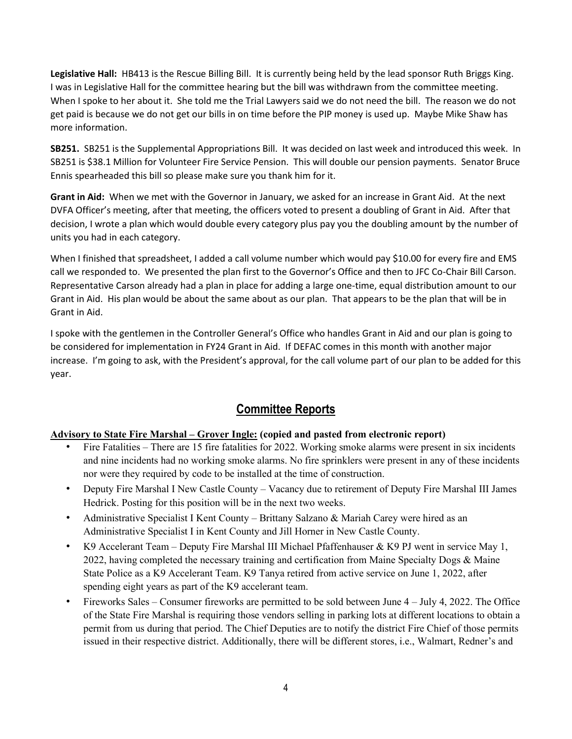**Legislative Hall:** HB413 is the Rescue Billing Bill. It is currently being held by the lead sponsor Ruth Briggs King. I was in Legislative Hall for the committee hearing but the bill was withdrawn from the committee meeting. When I spoke to her about it. She told me the Trial Lawyers said we do not need the bill. The reason we do not get paid is because we do not get our bills in on time before the PIP money is used up. Maybe Mike Shaw has more information.

**SB251.** SB251 is the Supplemental Appropriations Bill. It was decided on last week and introduced this week. In SB251 is \$38.1 Million for Volunteer Fire Service Pension. This will double our pension payments. Senator Bruce Ennis spearheaded this bill so please make sure you thank him for it.

**Grant in Aid:** When we met with the Governor in January, we asked for an increase in Grant Aid. At the next DVFA Officer's meeting, after that meeting, the officers voted to present a doubling of Grant in Aid. After that decision, I wrote a plan which would double every category plus pay you the doubling amount by the number of units you had in each category.

When I finished that spreadsheet, I added a call volume number which would pay \$10.00 for every fire and EMS call we responded to. We presented the plan first to the Governor's Office and then to JFC Co-Chair Bill Carson. Representative Carson already had a plan in place for adding a large one-time, equal distribution amount to our Grant in Aid. His plan would be about the same about as our plan. That appears to be the plan that will be in Grant in Aid.

I spoke with the gentlemen in the Controller General's Office who handles Grant in Aid and our plan is going to be considered for implementation in FY24 Grant in Aid. If DEFAC comes in this month with another major increase. I'm going to ask, with the President's approval, for the call volume part of our plan to be added for this year.

# **Committee Reports**

# **Advisory to State Fire Marshal – Grover Ingle: (copied and pasted from electronic report)**

- Fire Fatalities There are 15 fire fatalities for 2022. Working smoke alarms were present in six incidents and nine incidents had no working smoke alarms. No fire sprinklers were present in any of these incidents nor were they required by code to be installed at the time of construction.
- Deputy Fire Marshal I New Castle County Vacancy due to retirement of Deputy Fire Marshal III James Hedrick. Posting for this position will be in the next two weeks.
- Administrative Specialist I Kent County Brittany Salzano & Mariah Carey were hired as an Administrative Specialist I in Kent County and Jill Horner in New Castle County.
- K9 Accelerant Team Deputy Fire Marshal III Michael Pfaffenhauser & K9 PJ went in service May 1, 2022, having completed the necessary training and certification from Maine Specialty Dogs & Maine State Police as a K9 Accelerant Team. K9 Tanya retired from active service on June 1, 2022, after spending eight years as part of the K9 accelerant team.
- Fireworks Sales Consumer fireworks are permitted to be sold between June 4 July 4, 2022. The Office of the State Fire Marshal is requiring those vendors selling in parking lots at different locations to obtain a permit from us during that period. The Chief Deputies are to notify the district Fire Chief of those permits issued in their respective district. Additionally, there will be different stores, i.e., Walmart, Redner's and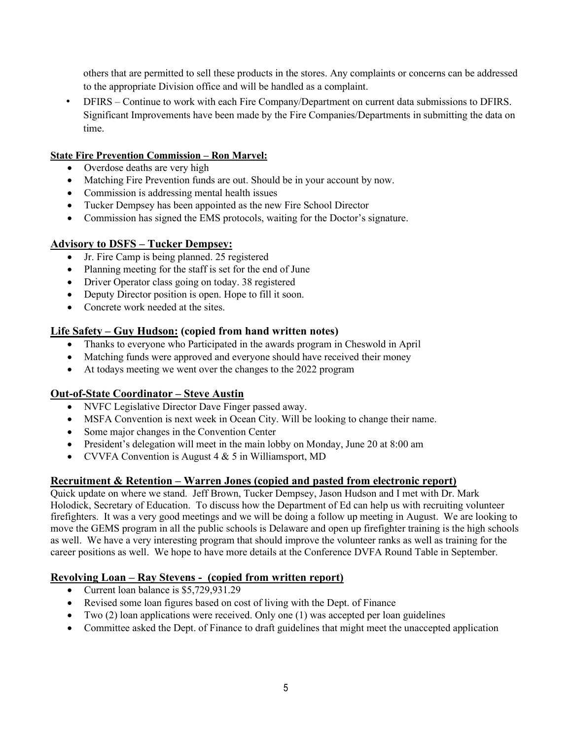others that are permitted to sell these products in the stores. Any complaints or concerns can be addressed to the appropriate Division office and will be handled as a complaint.

• DFIRS – Continue to work with each Fire Company/Department on current data submissions to DFIRS. Significant Improvements have been made by the Fire Companies/Departments in submitting the data on time.

### **State Fire Prevention Commission – Ron Marvel:**

- Overdose deaths are very high
- Matching Fire Prevention funds are out. Should be in your account by now.
- Commission is addressing mental health issues
- Tucker Dempsey has been appointed as the new Fire School Director
- Commission has signed the EMS protocols, waiting for the Doctor's signature.

### **Advisory to DSFS – Tucker Dempsey:**

- Jr. Fire Camp is being planned. 25 registered
- Planning meeting for the staff is set for the end of June
- Driver Operator class going on today. 38 registered
- Deputy Director position is open. Hope to fill it soon.
- Concrete work needed at the sites.

# **Life Safety – Guy Hudson: (copied from hand written notes)**

- Thanks to everyone who Participated in the awards program in Cheswold in April
- Matching funds were approved and everyone should have received their money
- At todays meeting we went over the changes to the 2022 program

### **Out-of-State Coordinator – Steve Austin**

- NVFC Legislative Director Dave Finger passed away.
- MSFA Convention is next week in Ocean City. Will be looking to change their name.
- Some major changes in the Convention Center
- President's delegation will meet in the main lobby on Monday, June 20 at 8:00 am
- CVVFA Convention is August 4 & 5 in Williamsport, MD

### **Recruitment & Retention – Warren Jones (copied and pasted from electronic report)**

Quick update on where we stand. Jeff Brown, Tucker Dempsey, Jason Hudson and I met with Dr. Mark Holodick, Secretary of Education. To discuss how the Department of Ed can help us with recruiting volunteer firefighters. It was a very good meetings and we will be doing a follow up meeting in August. We are looking to move the GEMS program in all the public schools is Delaware and open up firefighter training is the high schools as well. We have a very interesting program that should improve the volunteer ranks as well as training for the career positions as well. We hope to have more details at the Conference DVFA Round Table in September.

# **Revolving Loan – Ray Stevens - (copied from written report)**

- Current loan balance is \$5,729,931.29
- Revised some loan figures based on cost of living with the Dept. of Finance
- Two (2) loan applications were received. Only one (1) was accepted per loan guidelines
- Committee asked the Dept. of Finance to draft guidelines that might meet the unaccepted application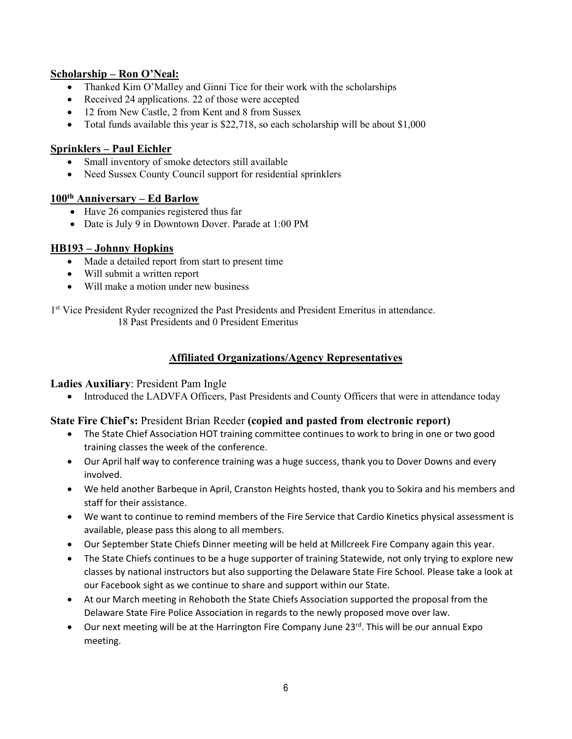# **Scholarship – Ron O'Neal:**

- Thanked Kim O'Malley and Ginni Tice for their work with the scholarships
- Received 24 applications. 22 of those were accepted
- 12 from New Castle, 2 from Kent and 8 from Sussex
- Total funds available this year is \$22,718, so each scholarship will be about \$1,000

# **Sprinklers – Paul Eichler**

- Small inventory of smoke detectors still available
- Need Sussex County Council support for residential sprinklers

### **100th Anniversary – Ed Barlow**

- Have 26 companies registered thus far
- Date is July 9 in Downtown Dover. Parade at 1:00 PM

# **HB193 – Johnny Hopkins**

- Made a detailed report from start to present time
- Will submit a written report
- Will make a motion under new business

1<sup>st</sup> Vice President Ryder recognized the Past Presidents and President Emeritus in attendance. 18 Past Presidents and 0 President Emeritus

# **Affiliated Organizations/Agency Representatives**

**Ladies Auxiliary**: President Pam Ingle

• Introduced the LADVFA Officers, Past Presidents and County Officers that were in attendance today

# **State Fire Chief's:** President Brian Reeder **(copied and pasted from electronic report)**

- The State Chief Association HOT training committee continues to work to bring in one or two good training classes the week of the conference.
- Our April half way to conference training was a huge success, thank you to Dover Downs and every involved.
- We held another Barbeque in April, Cranston Heights hosted, thank you to Sokira and his members and staff for their assistance.
- We want to continue to remind members of the Fire Service that Cardio Kinetics physical assessment is available, please pass this along to all members.
- Our September State Chiefs Dinner meeting will be held at Millcreek Fire Company again this year.
- The State Chiefs continues to be a huge supporter of training Statewide, not only trying to explore new classes by national instructors but also supporting the Delaware State Fire School. Please take a look at our Facebook sight as we continue to share and support within our State.
- At our March meeting in Rehoboth the State Chiefs Association supported the proposal from the Delaware State Fire Police Association in regards to the newly proposed move over law.
- Our next meeting will be at the Harrington Fire Company June  $23^{\text{rd}}$ . This will be our annual Expo meeting.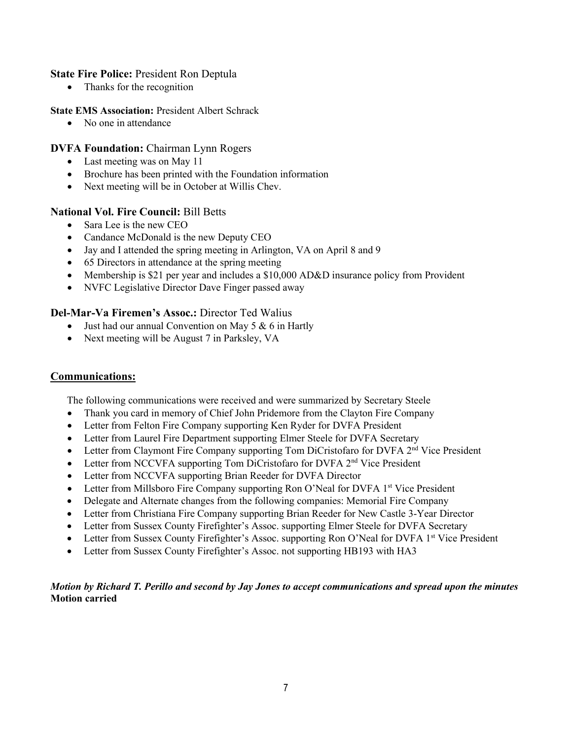### **State Fire Police:** President Ron Deptula

• Thanks for the recognition

#### **State EMS Association:** President Albert Schrack

• No one in attendance

### **DVFA Foundation:** Chairman Lynn Rogers

- Last meeting was on May 11
- Brochure has been printed with the Foundation information
- Next meeting will be in October at Willis Chev.

#### **National Vol. Fire Council:** Bill Betts

- Sara Lee is the new CEO
- Candance McDonald is the new Deputy CEO
- Jay and I attended the spring meeting in Arlington, VA on April 8 and 9
- 65 Directors in attendance at the spring meeting
- Membership is \$21 per year and includes a \$10,000 AD&D insurance policy from Provident
- NVFC Legislative Director Dave Finger passed away

#### **Del-Mar-Va Firemen's Assoc.:** Director Ted Walius

- Just had our annual Convention on May 5 & 6 in Hartly
- Next meeting will be August 7 in Parksley, VA

### **Communications:**

The following communications were received and were summarized by Secretary Steele

- Thank you card in memory of Chief John Pridemore from the Clayton Fire Company
- Letter from Felton Fire Company supporting Ken Ryder for DVFA President
- Letter from Laurel Fire Department supporting Elmer Steele for DVFA Secretary
- Letter from Claymont Fire Company supporting Tom DiCristofaro for DVFA 2<sup>nd</sup> Vice President
- Letter from NCCVFA supporting Tom DiCristofaro for DVFA 2<sup>nd</sup> Vice President
- Letter from NCCVFA supporting Brian Reeder for DVFA Director
- Letter from Millsboro Fire Company supporting Ron O'Neal for DVFA 1st Vice President
- Delegate and Alternate changes from the following companies: Memorial Fire Company
- Letter from Christiana Fire Company supporting Brian Reeder for New Castle 3-Year Director
- Letter from Sussex County Firefighter's Assoc. supporting Elmer Steele for DVFA Secretary
- Letter from Sussex County Firefighter's Assoc. supporting Ron O'Neal for DVFA 1st Vice President
- Letter from Sussex County Firefighter's Assoc. not supporting HB193 with HA3

#### *Motion by Richard T. Perillo and second by Jay Jones to accept communications and spread upon the minutes* **Motion carried**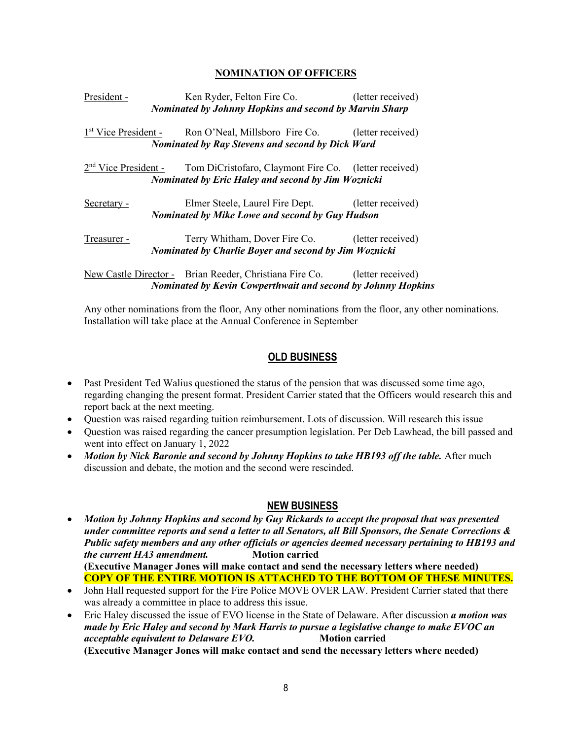#### **NOMINATION OF OFFICERS**

| President - | Ken Ryder, Felton Fire Co.                                                        | (letter received) |
|-------------|-----------------------------------------------------------------------------------|-------------------|
|             | <b>Nominated by Johnny Hopkins and second by Marvin Sharp</b>                     |                   |
|             | 1 <sup>st</sup> Vice President - Ron O'Neal, Millsboro Fire Co. (letter received) |                   |
|             | <b>Nominated by Ray Stevens and second by Dick Ward</b>                           |                   |
|             | $2nd$ Vice President - Tom DiCristofaro, Claymont Fire Co. (letter received)      |                   |
|             | Nominated by Eric Haley and second by Jim Woznicki                                |                   |
| Secretary - | Elmer Steele, Laurel Fire Dept. (letter received)                                 |                   |
|             | <b>Nominated by Mike Lowe and second by Guy Hudson</b>                            |                   |
| Treasurer - | Terry Whitham, Dover Fire Co. (letter received)                                   |                   |
|             | <b>Nominated by Charlie Boyer and second by Jim Woznicki</b>                      |                   |
|             | New Castle Director - Brian Reeder, Christiana Fire Co. (letter received)         |                   |
|             | <b>Nominated by Kevin Cowperthwait and second by Johnny Hopkins</b>               |                   |

Any other nominations from the floor, Any other nominations from the floor, any other nominations. Installation will take place at the Annual Conference in September

#### **OLD BUSINESS**

- Past President Ted Walius questioned the status of the pension that was discussed some time ago, regarding changing the present format. President Carrier stated that the Officers would research this and report back at the next meeting.
- Question was raised regarding tuition reimbursement. Lots of discussion. Will research this issue
- Question was raised regarding the cancer presumption legislation. Per Deb Lawhead, the bill passed and went into effect on January 1, 2022
- *Motion by Nick Baronie and second by Johnny Hopkins to take HB193 off the table.* After much discussion and debate, the motion and the second were rescinded.

#### **NEW BUSINESS**

- *Motion by Johnny Hopkins and second by Guy Rickards to accept the proposal that was presented under committee reports and send a letter to all Senators, all Bill Sponsors, the Senate Corrections & Public safety members and any other officials or agencies deemed necessary pertaining to HB193 and the current HA3 amendment.* Motion carried **(Executive Manager Jones will make contact and send the necessary letters where needed) COPY OF THE ENTIRE MOTION IS ATTACHED TO THE BOTTOM OF THESE MINUTES.**
- John Hall requested support for the Fire Police MOVE OVER LAW. President Carrier stated that there was already a committee in place to address this issue.
- Eric Haley discussed the issue of EVO license in the State of Delaware. After discussion *a motion was made by Eric Haley and second by Mark Harris to pursue a legislative change to make EVOC an acceptable equivalent to Delaware EVO.* Motion carried **(Executive Manager Jones will make contact and send the necessary letters where needed)**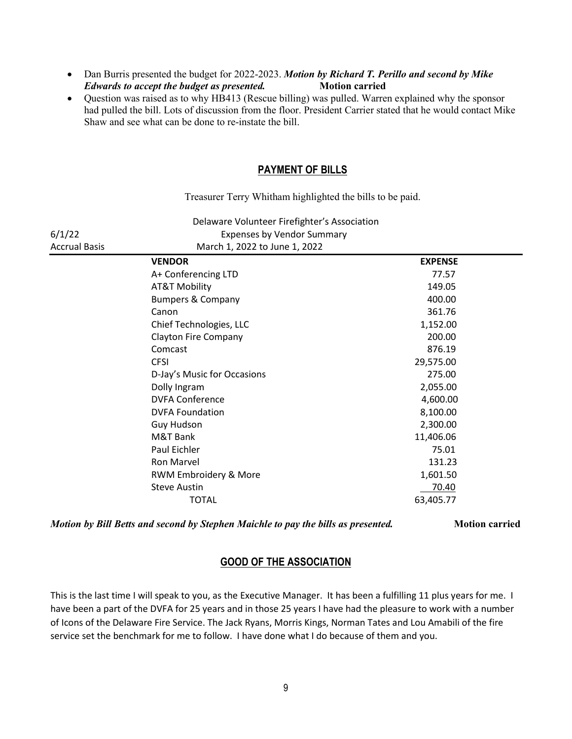- Dan Burris presented the budget for 2022-2023. *Motion by Richard T. Perillo and second by Mike Edwards to accept the budget as presented.* Motion carried
- Ouestion was raised as to why HB413 (Rescue billing) was pulled. Warren explained why the sponsor had pulled the bill. Lots of discussion from the floor. President Carrier stated that he would contact Mike Shaw and see what can be done to re-instate the bill.

#### **PAYMENT OF BILLS**

Treasurer Terry Whitham highlighted the bills to be paid.

|                      | Delaware Volunteer Firefighter's Association |                |  |
|----------------------|----------------------------------------------|----------------|--|
| 6/1/22               | <b>Expenses by Vendor Summary</b>            |                |  |
| <b>Accrual Basis</b> | March 1, 2022 to June 1, 2022                |                |  |
|                      | <b>VENDOR</b>                                | <b>EXPENSE</b> |  |
|                      | A+ Conferencing LTD                          | 77.57          |  |
|                      | <b>AT&amp;T Mobility</b>                     | 149.05         |  |
|                      | <b>Bumpers &amp; Company</b>                 | 400.00         |  |
|                      | Canon                                        | 361.76         |  |
|                      | Chief Technologies, LLC                      | 1,152.00       |  |
|                      | <b>Clayton Fire Company</b>                  | 200.00         |  |
|                      | Comcast                                      | 876.19         |  |
|                      | <b>CFSI</b>                                  | 29,575.00      |  |
|                      | D-Jay's Music for Occasions                  | 275.00         |  |
|                      | Dolly Ingram                                 | 2,055.00       |  |
|                      | <b>DVFA Conference</b>                       | 4,600.00       |  |
|                      | <b>DVFA Foundation</b>                       | 8,100.00       |  |
|                      | Guy Hudson                                   | 2,300.00       |  |
|                      | M&T Bank                                     | 11,406.06      |  |
|                      | Paul Eichler                                 | 75.01          |  |
|                      | Ron Marvel                                   | 131.23         |  |
|                      | RWM Embroidery & More                        | 1,601.50       |  |
|                      | <b>Steve Austin</b>                          | 70.40          |  |
|                      | <b>TOTAL</b>                                 | 63,405.77      |  |

*Motion by Bill Betts and second by Stephen Maichle to pay the bills as presented.* **Motion carried**

### **GOOD OF THE ASSOCIATION**

This is the last time I will speak to you, as the Executive Manager. It has been a fulfilling 11 plus years for me. I have been a part of the DVFA for 25 years and in those 25 years I have had the pleasure to work with a number of Icons of the Delaware Fire Service. The Jack Ryans, Morris Kings, Norman Tates and Lou Amabili of the fire service set the benchmark for me to follow. I have done what I do because of them and you.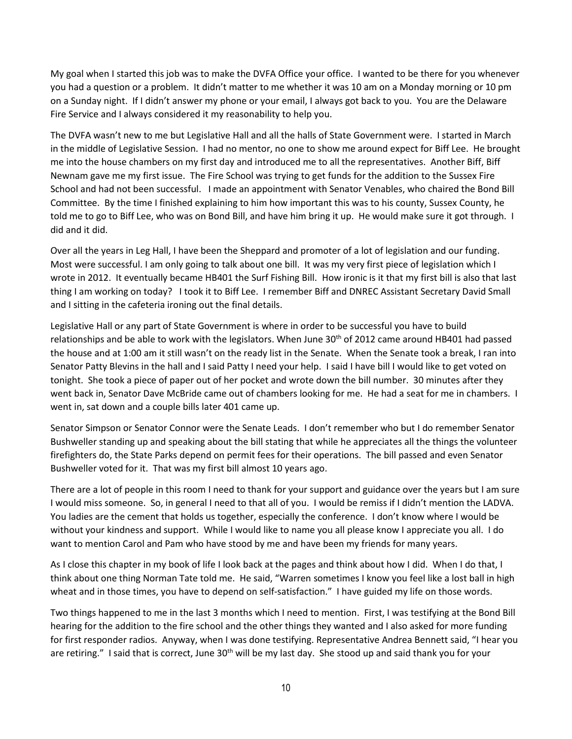My goal when I started this job was to make the DVFA Office your office. I wanted to be there for you whenever you had a question or a problem. It didn't matter to me whether it was 10 am on a Monday morning or 10 pm on a Sunday night. If I didn't answer my phone or your email, I always got back to you. You are the Delaware Fire Service and I always considered it my reasonability to help you.

The DVFA wasn't new to me but Legislative Hall and all the halls of State Government were. I started in March in the middle of Legislative Session. I had no mentor, no one to show me around expect for Biff Lee. He brought me into the house chambers on my first day and introduced me to all the representatives. Another Biff, Biff Newnam gave me my first issue. The Fire School was trying to get funds for the addition to the Sussex Fire School and had not been successful. I made an appointment with Senator Venables, who chaired the Bond Bill Committee. By the time I finished explaining to him how important this was to his county, Sussex County, he told me to go to Biff Lee, who was on Bond Bill, and have him bring it up. He would make sure it got through. I did and it did.

Over all the years in Leg Hall, I have been the Sheppard and promoter of a lot of legislation and our funding. Most were successful. I am only going to talk about one bill. It was my very first piece of legislation which I wrote in 2012. It eventually became HB401 the Surf Fishing Bill. How ironic is it that my first bill is also that last thing I am working on today? I took it to Biff Lee. I remember Biff and DNREC Assistant Secretary David Small and I sitting in the cafeteria ironing out the final details.

Legislative Hall or any part of State Government is where in order to be successful you have to build relationships and be able to work with the legislators. When June  $30<sup>th</sup>$  of 2012 came around HB401 had passed the house and at 1:00 am it still wasn't on the ready list in the Senate. When the Senate took a break, I ran into Senator Patty Blevins in the hall and I said Patty I need your help. I said I have bill I would like to get voted on tonight. She took a piece of paper out of her pocket and wrote down the bill number. 30 minutes after they went back in, Senator Dave McBride came out of chambers looking for me. He had a seat for me in chambers. I went in, sat down and a couple bills later 401 came up.

Senator Simpson or Senator Connor were the Senate Leads. I don't remember who but I do remember Senator Bushweller standing up and speaking about the bill stating that while he appreciates all the things the volunteer firefighters do, the State Parks depend on permit fees for their operations. The bill passed and even Senator Bushweller voted for it. That was my first bill almost 10 years ago.

There are a lot of people in this room I need to thank for your support and guidance over the years but I am sure I would miss someone. So, in general I need to that all of you. I would be remiss if I didn't mention the LADVA. You ladies are the cement that holds us together, especially the conference. I don't know where I would be without your kindness and support. While I would like to name you all please know I appreciate you all. I do want to mention Carol and Pam who have stood by me and have been my friends for many years.

As I close this chapter in my book of life I look back at the pages and think about how I did. When I do that, I think about one thing Norman Tate told me. He said, "Warren sometimes I know you feel like a lost ball in high wheat and in those times, you have to depend on self-satisfaction." I have guided my life on those words.

Two things happened to me in the last 3 months which I need to mention. First, I was testifying at the Bond Bill hearing for the addition to the fire school and the other things they wanted and I also asked for more funding for first responder radios. Anyway, when I was done testifying. Representative Andrea Bennett said, "I hear you are retiring." I said that is correct, June  $30<sup>th</sup>$  will be my last day. She stood up and said thank you for your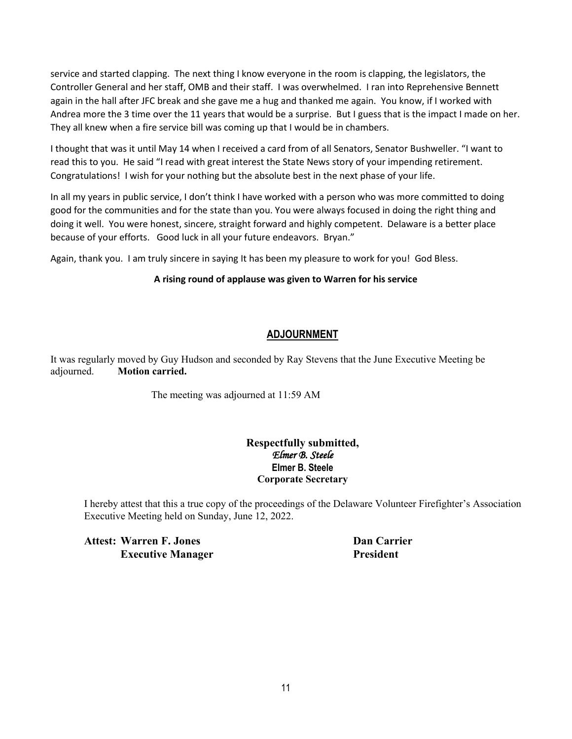service and started clapping. The next thing I know everyone in the room is clapping, the legislators, the Controller General and her staff, OMB and their staff. I was overwhelmed. I ran into Reprehensive Bennett again in the hall after JFC break and she gave me a hug and thanked me again. You know, if I worked with Andrea more the 3 time over the 11 years that would be a surprise. But I guess that is the impact I made on her. They all knew when a fire service bill was coming up that I would be in chambers.

I thought that was it until May 14 when I received a card from of all Senators, Senator Bushweller. "I want to read this to you. He said "I read with great interest the State News story of your impending retirement. Congratulations! I wish for your nothing but the absolute best in the next phase of your life.

In all my years in public service, I don't think I have worked with a person who was more committed to doing good for the communities and for the state than you. You were always focused in doing the right thing and doing it well. You were honest, sincere, straight forward and highly competent. Delaware is a better place because of your efforts. Good luck in all your future endeavors. Bryan."

Again, thank you. I am truly sincere in saying It has been my pleasure to work for you! God Bless.

#### **A rising round of applause was given to Warren for his service**

# **ADJOURNMENT**

It was regularly moved by Guy Hudson and seconded by Ray Stevens that the June Executive Meeting be adjourned. **Motion carried.**

The meeting was adjourned at 11:59 AM

#### **Respectfully submitted,** *Elmer B. Steele*  **Elmer B. Steele Corporate Secretary**

I hereby attest that this a true copy of the proceedings of the Delaware Volunteer Firefighter's Association Executive Meeting held on Sunday, June 12, 2022.

**Attest: Warren F. Jones Dan Carrier Executive Manager President**